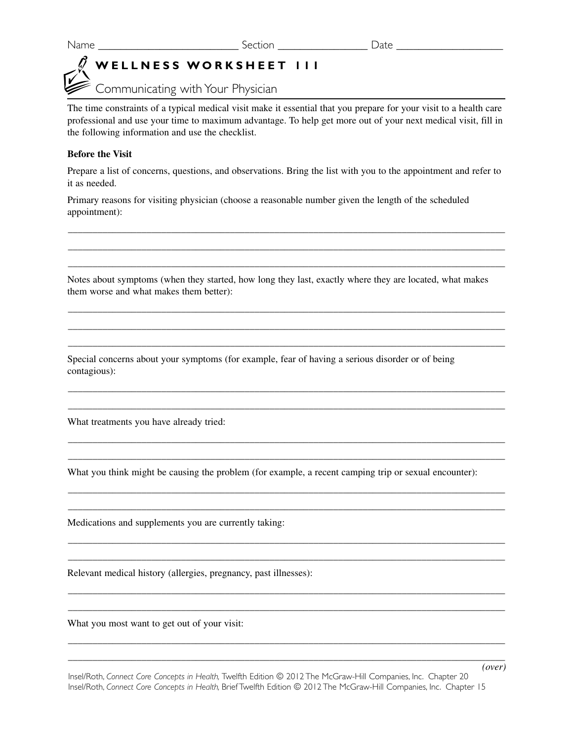# **WELLNESS WORKSHEET 111**

Communicating with Your Physician

The time constraints of a typical medical visit make it essential that you prepare for your visit to a health care professional and use your time to maximum advantage. To help get more out of your next medical visit, fill in the following information and use the checklist.

## **Before the Visit**

Prepare a list of concerns, questions, and observations. Bring the list with you to the appointment and refer to it as needed.

\_\_\_\_\_\_\_\_\_\_\_\_\_\_\_\_\_\_\_\_\_\_\_\_\_\_\_\_\_\_\_\_\_\_\_\_\_\_\_\_\_\_\_\_\_\_\_\_\_\_\_\_\_\_\_\_\_\_\_\_\_\_\_\_\_\_\_\_\_\_\_\_\_\_\_\_\_\_\_\_\_\_\_\_\_\_\_\_\_ \_\_\_\_\_\_\_\_\_\_\_\_\_\_\_\_\_\_\_\_\_\_\_\_\_\_\_\_\_\_\_\_\_\_\_\_\_\_\_\_\_\_\_\_\_\_\_\_\_\_\_\_\_\_\_\_\_\_\_\_\_\_\_\_\_\_\_\_\_\_\_\_\_\_\_\_\_\_\_\_\_\_\_\_\_\_\_\_\_ \_\_\_\_\_\_\_\_\_\_\_\_\_\_\_\_\_\_\_\_\_\_\_\_\_\_\_\_\_\_\_\_\_\_\_\_\_\_\_\_\_\_\_\_\_\_\_\_\_\_\_\_\_\_\_\_\_\_\_\_\_\_\_\_\_\_\_\_\_\_\_\_\_\_\_\_\_\_\_\_\_\_\_\_\_\_\_\_\_

Primary reasons for visiting physician (choose a reasonable number given the length of the scheduled appointment):

Notes about symptoms (when they started, how long they last, exactly where they are located, what makes them worse and what makes them better):

 $\_$  , and the set of the set of the set of the set of the set of the set of the set of the set of the set of the set of the set of the set of the set of the set of the set of the set of the set of the set of the set of th  $\_$  , and the set of the set of the set of the set of the set of the set of the set of the set of the set of the set of the set of the set of the set of the set of the set of the set of the set of the set of the set of th  $\_$  , and the set of the set of the set of the set of the set of the set of the set of the set of the set of the set of the set of the set of the set of the set of the set of the set of the set of the set of the set of th

\_\_\_\_\_\_\_\_\_\_\_\_\_\_\_\_\_\_\_\_\_\_\_\_\_\_\_\_\_\_\_\_\_\_\_\_\_\_\_\_\_\_\_\_\_\_\_\_\_\_\_\_\_\_\_\_\_\_\_\_\_\_\_\_\_\_\_\_\_\_\_\_\_\_\_\_\_\_\_\_\_\_\_\_\_\_\_\_\_ \_\_\_\_\_\_\_\_\_\_\_\_\_\_\_\_\_\_\_\_\_\_\_\_\_\_\_\_\_\_\_\_\_\_\_\_\_\_\_\_\_\_\_\_\_\_\_\_\_\_\_\_\_\_\_\_\_\_\_\_\_\_\_\_\_\_\_\_\_\_\_\_\_\_\_\_\_\_\_\_\_\_\_\_\_\_\_\_\_

\_\_\_\_\_\_\_\_\_\_\_\_\_\_\_\_\_\_\_\_\_\_\_\_\_\_\_\_\_\_\_\_\_\_\_\_\_\_\_\_\_\_\_\_\_\_\_\_\_\_\_\_\_\_\_\_\_\_\_\_\_\_\_\_\_\_\_\_\_\_\_\_\_\_\_\_\_\_\_\_\_\_\_\_\_\_\_\_\_ \_\_\_\_\_\_\_\_\_\_\_\_\_\_\_\_\_\_\_\_\_\_\_\_\_\_\_\_\_\_\_\_\_\_\_\_\_\_\_\_\_\_\_\_\_\_\_\_\_\_\_\_\_\_\_\_\_\_\_\_\_\_\_\_\_\_\_\_\_\_\_\_\_\_\_\_\_\_\_\_\_\_\_\_\_\_\_\_\_

\_\_\_\_\_\_\_\_\_\_\_\_\_\_\_\_\_\_\_\_\_\_\_\_\_\_\_\_\_\_\_\_\_\_\_\_\_\_\_\_\_\_\_\_\_\_\_\_\_\_\_\_\_\_\_\_\_\_\_\_\_\_\_\_\_\_\_\_\_\_\_\_\_\_\_\_\_\_\_\_\_\_\_\_\_\_\_\_\_ \_\_\_\_\_\_\_\_\_\_\_\_\_\_\_\_\_\_\_\_\_\_\_\_\_\_\_\_\_\_\_\_\_\_\_\_\_\_\_\_\_\_\_\_\_\_\_\_\_\_\_\_\_\_\_\_\_\_\_\_\_\_\_\_\_\_\_\_\_\_\_\_\_\_\_\_\_\_\_\_\_\_\_\_\_\_\_\_\_

\_\_\_\_\_\_\_\_\_\_\_\_\_\_\_\_\_\_\_\_\_\_\_\_\_\_\_\_\_\_\_\_\_\_\_\_\_\_\_\_\_\_\_\_\_\_\_\_\_\_\_\_\_\_\_\_\_\_\_\_\_\_\_\_\_\_\_\_\_\_\_\_\_\_\_\_\_\_\_\_\_\_\_\_\_\_\_\_\_ \_\_\_\_\_\_\_\_\_\_\_\_\_\_\_\_\_\_\_\_\_\_\_\_\_\_\_\_\_\_\_\_\_\_\_\_\_\_\_\_\_\_\_\_\_\_\_\_\_\_\_\_\_\_\_\_\_\_\_\_\_\_\_\_\_\_\_\_\_\_\_\_\_\_\_\_\_\_\_\_\_\_\_\_\_\_\_\_\_

\_\_\_\_\_\_\_\_\_\_\_\_\_\_\_\_\_\_\_\_\_\_\_\_\_\_\_\_\_\_\_\_\_\_\_\_\_\_\_\_\_\_\_\_\_\_\_\_\_\_\_\_\_\_\_\_\_\_\_\_\_\_\_\_\_\_\_\_\_\_\_\_\_\_\_\_\_\_\_\_\_\_\_\_\_\_\_\_\_ \_\_\_\_\_\_\_\_\_\_\_\_\_\_\_\_\_\_\_\_\_\_\_\_\_\_\_\_\_\_\_\_\_\_\_\_\_\_\_\_\_\_\_\_\_\_\_\_\_\_\_\_\_\_\_\_\_\_\_\_\_\_\_\_\_\_\_\_\_\_\_\_\_\_\_\_\_\_\_\_\_\_\_\_\_\_\_\_\_

\_\_\_\_\_\_\_\_\_\_\_\_\_\_\_\_\_\_\_\_\_\_\_\_\_\_\_\_\_\_\_\_\_\_\_\_\_\_\_\_\_\_\_\_\_\_\_\_\_\_\_\_\_\_\_\_\_\_\_\_\_\_\_\_\_\_\_\_\_\_\_\_\_\_\_\_\_\_\_\_\_\_\_\_\_\_\_\_\_ \_\_\_\_\_\_\_\_\_\_\_\_\_\_\_\_\_\_\_\_\_\_\_\_\_\_\_\_\_\_\_\_\_\_\_\_\_\_\_\_\_\_\_\_\_\_\_\_\_\_\_\_\_\_\_\_\_\_\_\_\_\_\_\_\_\_\_\_\_\_\_\_\_\_\_\_\_\_\_\_\_\_\_\_\_\_\_\_\_

Special concerns about your symptoms (for example, fear of having a serious disorder or of being contagious):

What treatments you have already tried:

What you think might be causing the problem (for example, a recent camping trip or sexual encounter):

Medications and supplements you are currently taking:

Relevant medical history (allergies, pregnancy, past illnesses):

What you most want to get out of your visit: